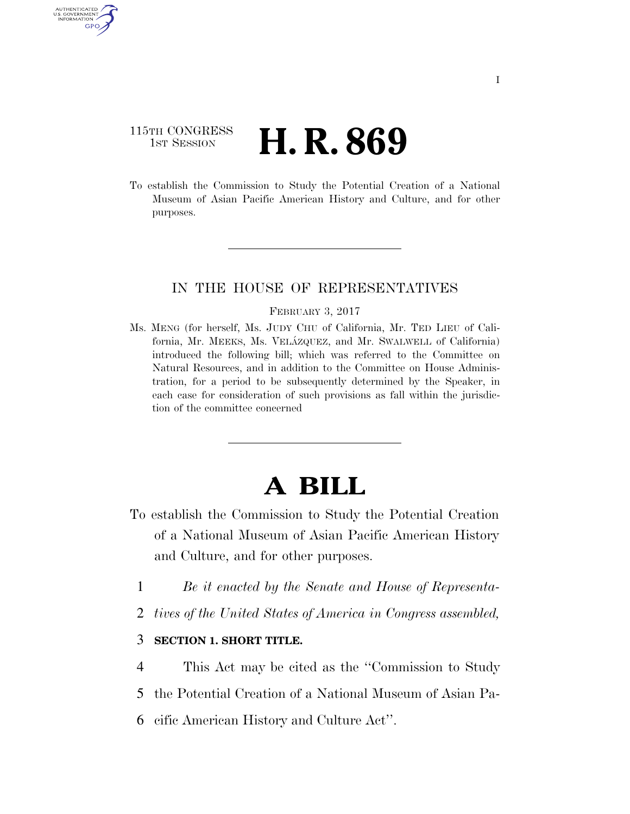## 115TH CONGRESS **1st Session H. R. 869**

AUTHENTICATED U.S. GOVERNMENT GPO

> To establish the Commission to Study the Potential Creation of a National Museum of Asian Pacific American History and Culture, and for other purposes.

## IN THE HOUSE OF REPRESENTATIVES

#### FEBRUARY 3, 2017

Ms. MENG (for herself, Ms. JUDY CHU of California, Mr. TED LIEU of California, Mr. MEEKS, Ms. VELÁZQUEZ, and Mr. SWALWELL of California) introduced the following bill; which was referred to the Committee on Natural Resources, and in addition to the Committee on House Administration, for a period to be subsequently determined by the Speaker, in each case for consideration of such provisions as fall within the jurisdiction of the committee concerned

# **A BILL**

- To establish the Commission to Study the Potential Creation of a National Museum of Asian Pacific American History and Culture, and for other purposes.
	- 1 *Be it enacted by the Senate and House of Representa-*
	- 2 *tives of the United States of America in Congress assembled,*

## 3 **SECTION 1. SHORT TITLE.**

- 4 This Act may be cited as the ''Commission to Study
- 5 the Potential Creation of a National Museum of Asian Pa-
- 6 cific American History and Culture Act''.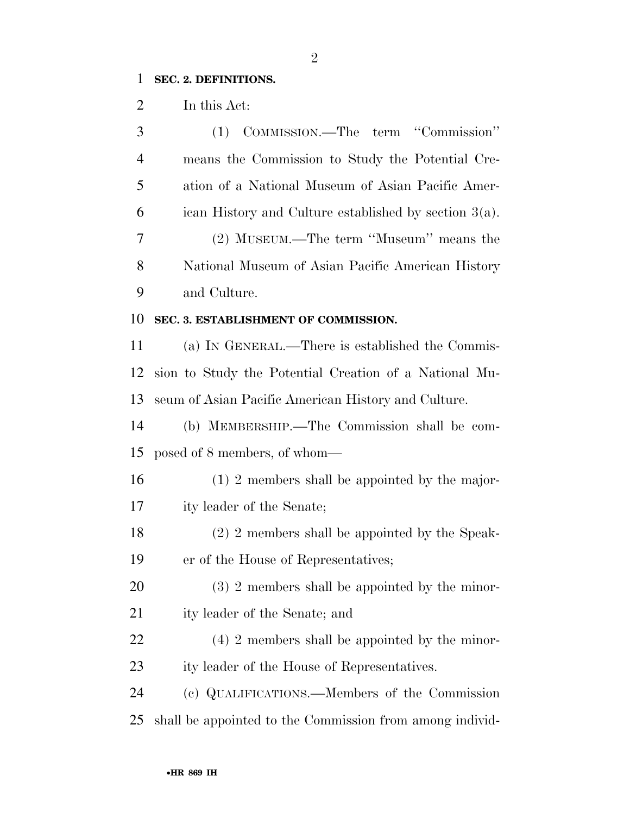## **SEC. 2. DEFINITIONS.**

In this Act:

| 3              | (1) COMMISSION.—The term "Commission"                    |
|----------------|----------------------------------------------------------|
| $\overline{4}$ | means the Commission to Study the Potential Cre-         |
| 5              | ation of a National Museum of Asian Pacific Amer-        |
| 6              | ican History and Culture established by section $3(a)$ . |
| 7              | (2) MUSEUM.—The term "Museum" means the                  |
| 8              | National Museum of Asian Pacific American History        |
| 9              | and Culture.                                             |
| 10             | SEC. 3. ESTABLISHMENT OF COMMISSION.                     |
| 11             | (a) IN GENERAL.—There is established the Commis-         |
| 12             | sion to Study the Potential Creation of a National Mu-   |
| 13             | seum of Asian Pacific American History and Culture.      |
| 14             | (b) MEMBERSHIP.—The Commission shall be com-             |
| 15             | posed of 8 members, of whom—                             |
| 16             | $(1)$ 2 members shall be appointed by the major-         |
| 17             | ity leader of the Senate;                                |
| 18             | (2) 2 members shall be appointed by the Speak-           |
| 19             | er of the House of Representatives;                      |
| 20             | $(3)$ 2 members shall be appointed by the minor-         |
| 21             | ity leader of the Senate; and                            |
| 22             | $(4)$ 2 members shall be appointed by the minor-         |
| 23             | ity leader of the House of Representatives.              |
| 24             | (c) QUALIFICATIONS.—Members of the Commission            |
| 25             | shall be appointed to the Commission from among individ- |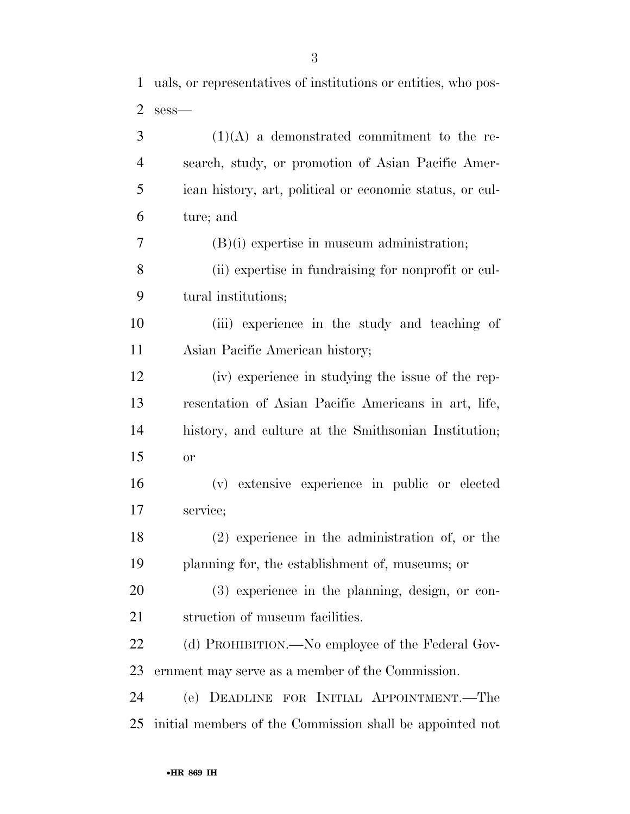uals, or representatives of institutions or entities, who pos-

| $\overline{2}$ | $sess$ —                                                 |
|----------------|----------------------------------------------------------|
| 3              | $(1)(A)$ a demonstrated commitment to the re-            |
| $\overline{4}$ | search, study, or promotion of Asian Pacific Amer-       |
| 5              | ican history, art, political or economic status, or cul- |
| 6              | ture; and                                                |
| 7              | $(B)(i)$ expertise in museum administration;             |
| 8              | (ii) expertise in fundraising for nonprofit or cul-      |
| 9              | tural institutions;                                      |
| 10             | (iii) experience in the study and teaching of            |
| 11             | Asian Pacific American history;                          |
| 12             | (iv) experience in studying the issue of the rep-        |
| 13             | resentation of Asian Pacific Americans in art, life,     |
| 14             | history, and culture at the Smithsonian Institution;     |
| 15             | or                                                       |
| 16             | (v) extensive experience in public or elected            |
| 17             | service;                                                 |
| 18             | $(2)$ experience in the administration of, or the        |
| 19             | planning for, the establishment of, museums; or          |
| 20             | $(3)$ experience in the planning, design, or con-        |
| 21             | struction of museum facilities.                          |
| 22             | (d) PROHIBITION.—No employee of the Federal Gov-         |
| 23             | ernment may serve as a member of the Commission.         |
| 24             | DEADLINE FOR INITIAL APPOINTMENT.—The<br>(e)             |
| 25             | initial members of the Commission shall be appointed not |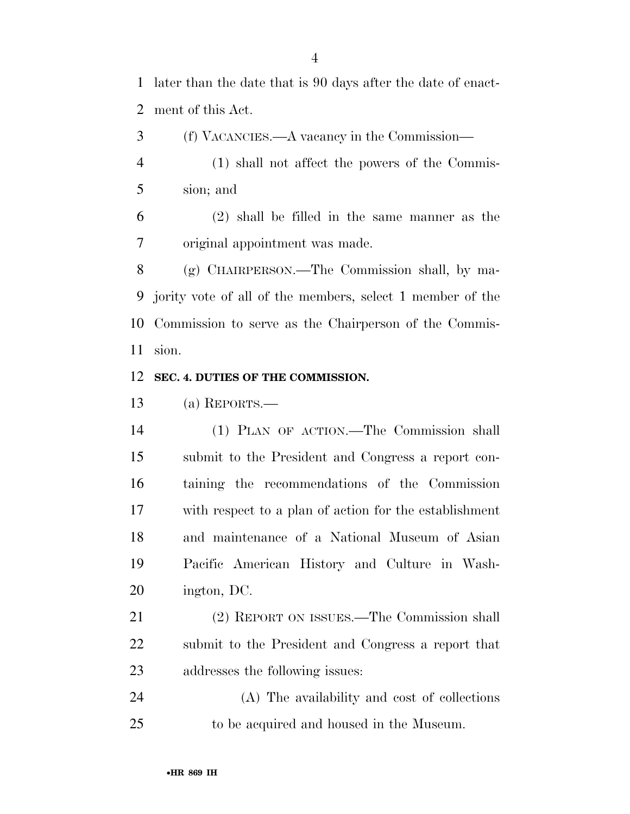later than the date that is 90 days after the date of enact-ment of this Act.

(f) VACANCIES.—A vacancy in the Commission—

 (1) shall not affect the powers of the Commis-sion; and

 (2) shall be filled in the same manner as the original appointment was made.

 (g) CHAIRPERSON.—The Commission shall, by ma- jority vote of all of the members, select 1 member of the Commission to serve as the Chairperson of the Commis-sion.

#### **SEC. 4. DUTIES OF THE COMMISSION.**

(a) REPORTS.—

 (1) PLAN OF ACTION.—The Commission shall submit to the President and Congress a report con- taining the recommendations of the Commission with respect to a plan of action for the establishment and maintenance of a National Museum of Asian Pacific American History and Culture in Wash-ington, DC.

 (2) REPORT ON ISSUES.—The Commission shall submit to the President and Congress a report that addresses the following issues:

 (A) The availability and cost of collections to be acquired and housed in the Museum.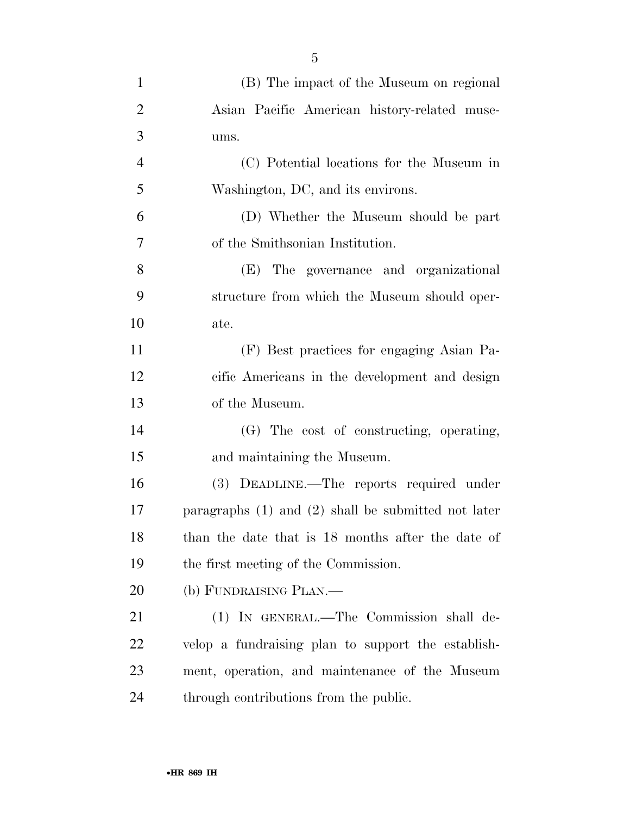| $\mathbf{1}$   | (B) The impact of the Museum on regional                |
|----------------|---------------------------------------------------------|
| $\overline{2}$ | Asian Pacific American history-related muse-            |
| 3              | ums.                                                    |
| $\overline{4}$ | (C) Potential locations for the Museum in               |
| 5              | Washington, DC, and its environs.                       |
| 6              | (D) Whether the Museum should be part                   |
| $\tau$         | of the Smithsonian Institution.                         |
| 8              | (E) The governance and organizational                   |
| 9              | structure from which the Museum should oper-            |
| 10             | ate.                                                    |
| 11             | (F) Best practices for engaging Asian Pa-               |
| 12             | cific Americans in the development and design           |
| 13             | of the Museum.                                          |
| 14             | (G) The cost of constructing, operating,                |
| 15             | and maintaining the Museum.                             |
| 16             | (3) DEADLINE.—The reports required under                |
| 17             | paragraphs $(1)$ and $(2)$ shall be submitted not later |
| 18             | than the date that is 18 months after the date of       |
| 19             | the first meeting of the Commission.                    |
| 20             | (b) FUNDRAISING PLAN.—                                  |
| 21             | (1) IN GENERAL.—The Commission shall de-                |
| 22             | velop a fundraising plan to support the establish-      |
| 23             | ment, operation, and maintenance of the Museum          |
| 24             | through contributions from the public.                  |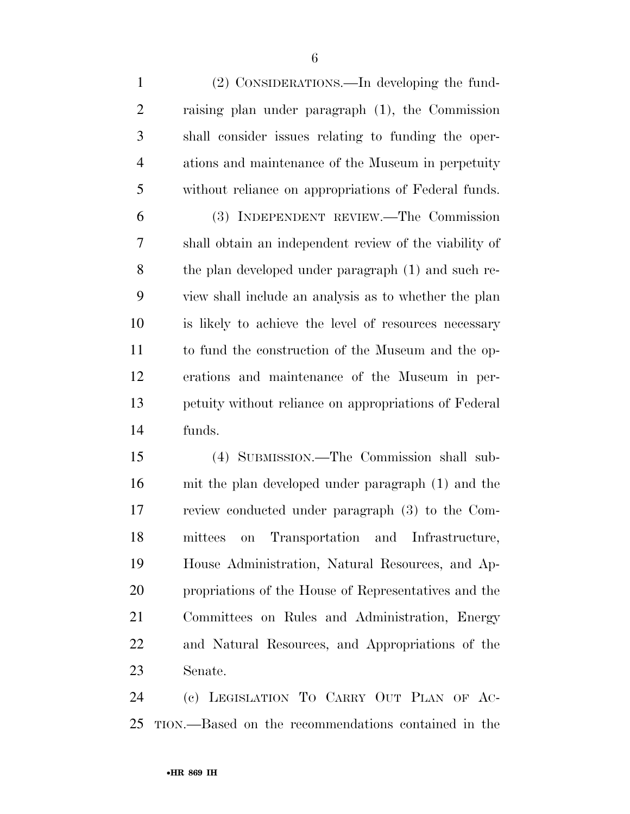(2) CONSIDERATIONS.—In developing the fund- raising plan under paragraph (1), the Commission shall consider issues relating to funding the oper- ations and maintenance of the Museum in perpetuity without reliance on appropriations of Federal funds. (3) INDEPENDENT REVIEW.—The Commission shall obtain an independent review of the viability of the plan developed under paragraph (1) and such re- view shall include an analysis as to whether the plan is likely to achieve the level of resources necessary

 to fund the construction of the Museum and the op- erations and maintenance of the Museum in per- petuity without reliance on appropriations of Federal funds.

 (4) SUBMISSION.—The Commission shall sub- mit the plan developed under paragraph (1) and the review conducted under paragraph (3) to the Com- mittees on Transportation and Infrastructure, House Administration, Natural Resources, and Ap- propriations of the House of Representatives and the Committees on Rules and Administration, Energy and Natural Resources, and Appropriations of the Senate.

 (c) LEGISLATION TO CARRY OUT PLAN OF AC-TION.—Based on the recommendations contained in the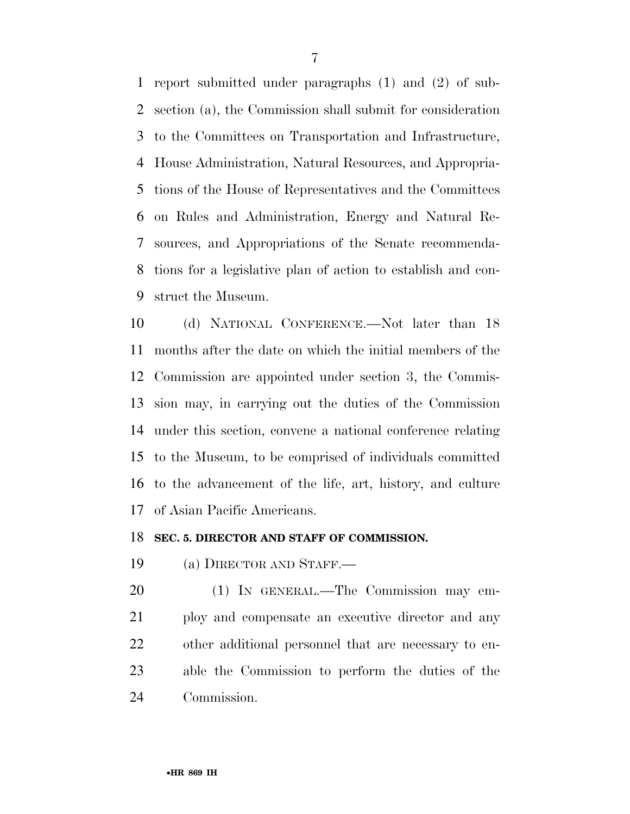report submitted under paragraphs (1) and (2) of sub- section (a), the Commission shall submit for consideration to the Committees on Transportation and Infrastructure, House Administration, Natural Resources, and Appropria- tions of the House of Representatives and the Committees on Rules and Administration, Energy and Natural Re- sources, and Appropriations of the Senate recommenda- tions for a legislative plan of action to establish and con-struct the Museum.

 (d) NATIONAL CONFERENCE.—Not later than 18 months after the date on which the initial members of the Commission are appointed under section 3, the Commis- sion may, in carrying out the duties of the Commission under this section, convene a national conference relating to the Museum, to be comprised of individuals committed to the advancement of the life, art, history, and culture of Asian Pacific Americans.

### **SEC. 5. DIRECTOR AND STAFF OF COMMISSION.**

(a) DIRECTOR AND STAFF.—

 (1) IN GENERAL.—The Commission may em- ploy and compensate an executive director and any other additional personnel that are necessary to en- able the Commission to perform the duties of the Commission.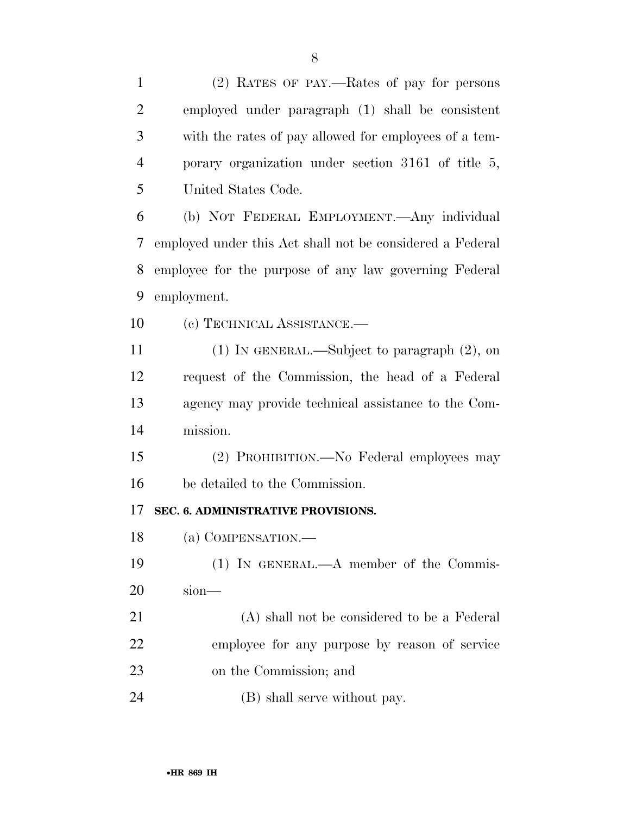employed under paragraph (1) shall be consistent with the rates of pay allowed for employees of a tem- porary organization under section 3161 of title 5, United States Code. (b) NOT FEDERAL EMPLOYMENT.—Any individual employed under this Act shall not be considered a Federal employee for the purpose of any law governing Federal employment. 10 (c) TECHNICAL ASSISTANCE. (1) IN GENERAL.—Subject to paragraph (2), on request of the Commission, the head of a Federal agency may provide technical assistance to the Com- mission. (2) PROHIBITION.—No Federal employees may be detailed to the Commission. **SEC. 6. ADMINISTRATIVE PROVISIONS.**  (a) COMPENSATION.— (1) IN GENERAL.—A member of the Commis-sion—

 (A) shall not be considered to be a Federal employee for any purpose by reason of service on the Commission; and

24 (B) shall serve without pay.

(2) RATES OF PAY.—Rates of pay for persons